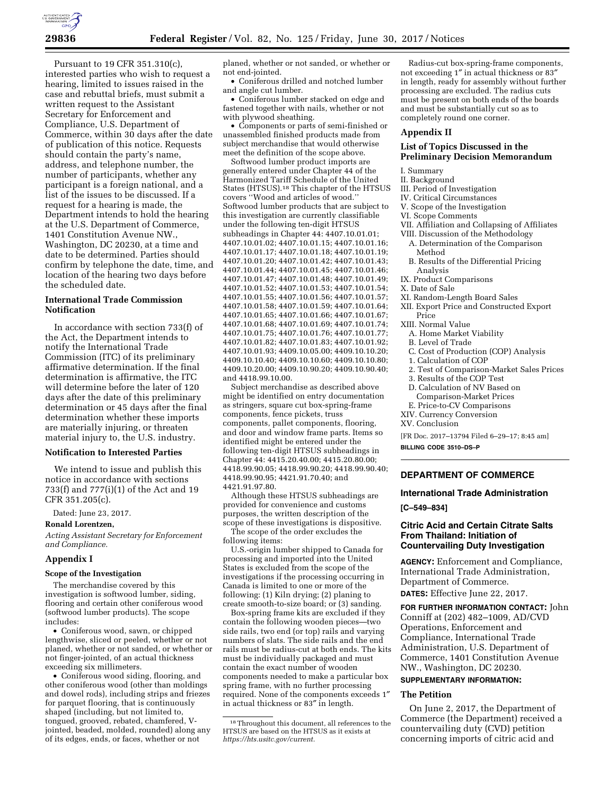Pursuant to 19 CFR 351.310(c), interested parties who wish to request a hearing, limited to issues raised in the case and rebuttal briefs, must submit a written request to the Assistant Secretary for Enforcement and Compliance, U.S. Department of Commerce, within 30 days after the date of publication of this notice. Requests should contain the party's name, address, and telephone number, the number of participants, whether any participant is a foreign national, and a list of the issues to be discussed. If a request for a hearing is made, the Department intends to hold the hearing at the U.S. Department of Commerce, 1401 Constitution Avenue NW., Washington, DC 20230, at a time and date to be determined. Parties should confirm by telephone the date, time, and location of the hearing two days before the scheduled date.

# **International Trade Commission Notification**

In accordance with section 733(f) of the Act, the Department intends to notify the International Trade Commission (ITC) of its preliminary affirmative determination. If the final determination is affirmative, the ITC will determine before the later of 120 days after the date of this preliminary determination or 45 days after the final determination whether these imports are materially injuring, or threaten material injury to, the U.S. industry.

## **Notification to Interested Parties**

We intend to issue and publish this notice in accordance with sections 733(f) and 777(i)(1) of the Act and 19 CFR 351.205(c).

Dated: June 23, 2017.

**Ronald Lorentzen,** 

*Acting Assistant Secretary for Enforcement and Compliance.* 

#### **Appendix I**

#### **Scope of the Investigation**

The merchandise covered by this investigation is softwood lumber, siding, flooring and certain other coniferous wood (softwood lumber products). The scope includes:

• Coniferous wood, sawn, or chipped lengthwise, sliced or peeled, whether or not planed, whether or not sanded, or whether or not finger-jointed, of an actual thickness exceeding six millimeters.

• Coniferous wood siding, flooring, and other coniferous wood (other than moldings and dowel rods), including strips and friezes for parquet flooring, that is continuously shaped (including, but not limited to, tongued, grooved, rebated, chamfered, Vjointed, beaded, molded, rounded) along any of its edges, ends, or faces, whether or not

planed, whether or not sanded, or whether or not end-jointed.

• Coniferous drilled and notched lumber and angle cut lumber.

• Coniferous lumber stacked on edge and fastened together with nails, whether or not with plywood sheathing.

• Components or parts of semi-finished or unassembled finished products made from subject merchandise that would otherwise meet the definition of the scope above.

Softwood lumber product imports are generally entered under Chapter 44 of the Harmonized Tariff Schedule of the United States (HTSUS).18 This chapter of the HTSUS covers ''Wood and articles of wood.'' Softwood lumber products that are subject to this investigation are currently classifiable under the following ten-digit HTSUS subheadings in Chapter 44: 4407.10.01.01; 4407.10.01.02; 4407.10.01.15; 4407.10.01.16; 4407.10.01.17; 4407.10.01.18; 4407.10.01.19; 4407.10.01.20; 4407.10.01.42; 4407.10.01.43; 4407.10.01.44; 4407.10.01.45; 4407.10.01.46; 4407.10.01.47; 4407.10.01.48; 4407.10.01.49; 4407.10.01.52; 4407.10.01.53; 4407.10.01.54; 4407.10.01.55; 4407.10.01.56; 4407.10.01.57; 4407.10.01.58; 4407.10.01.59; 4407.10.01.64; 4407.10.01.65; 4407.10.01.66; 4407.10.01.67; 4407.10.01.68; 4407.10.01.69; 4407.10.01.74; 4407.10.01.75; 4407.10.01.76; 4407.10.01.77; 4407.10.01.82; 4407.10.01.83; 4407.10.01.92; 4407.10.01.93; 4409.10.05.00; 4409.10.10.20; 4409.10.10.40; 4409.10.10.60; 4409.10.10.80; 4409.10.20.00; 4409.10.90.20; 4409.10.90.40; and 4418.99.10.00.

Subject merchandise as described above might be identified on entry documentation as stringers, square cut box-spring-frame components, fence pickets, truss components, pallet components, flooring, and door and window frame parts. Items so identified might be entered under the following ten-digit HTSUS subheadings in Chapter 44: 4415.20.40.00; 4415.20.80.00; 4418.99.90.05; 4418.99.90.20; 4418.99.90.40; 4418.99.90.95; 4421.91.70.40; and 4421.91.97.80.

Although these HTSUS subheadings are provided for convenience and customs purposes, the written description of the scope of these investigations is dispositive. The scope of the order excludes the

following items:

U.S.-origin lumber shipped to Canada for processing and imported into the United States is excluded from the scope of the investigations if the processing occurring in Canada is limited to one or more of the following: (1) Kiln drying; (2) planing to create smooth-to-size board; or (3) sanding.

Box-spring frame kits are excluded if they contain the following wooden pieces—two side rails, two end (or top) rails and varying numbers of slats. The side rails and the end rails must be radius-cut at both ends. The kits must be individually packaged and must contain the exact number of wooden components needed to make a particular box spring frame, with no further processing required. None of the components exceeds 1″ in actual thickness or 83″ in length.

Radius-cut box-spring-frame components, not exceeding 1″ in actual thickness or 83″ in length, ready for assembly without further processing are excluded. The radius cuts must be present on both ends of the boards and must be substantially cut so as to completely round one corner.

# **Appendix II**

## **List of Topics Discussed in the Preliminary Decision Memorandum**

I. Summary

II. Background

- III. Period of Investigation
- IV. Critical Circumstances
- V. Scope of the Investigation
- VI. Scope Comments
- VII. Affiliation and Collapsing of Affiliates
- VIII. Discussion of the Methodology A. Determination of the Comparison
	- Method B. Results of the Differential Pricing
- Analysis
- IX. Product Comparisons
- X. Date of Sale
- XI. Random-Length Board Sales
- XII. Export Price and Constructed Export Price
- XIII. Normal Value
	- A. Home Market Viability
- B. Level of Trade
- C. Cost of Production (COP) Analysis
- 1. Calculation of COP
- 2. Test of Comparison-Market Sales Prices
- 3. Results of the COP Test
- D. Calculation of NV Based on
- Comparison-Market Prices
- E. Price-to-CV Comparisons
- XIV. Currency Conversion
- XV. Conclusion

[FR Doc. 2017–13794 Filed 6–29–17; 8:45 am] **BILLING CODE 3510–DS–P** 

**DEPARTMENT OF COMMERCE** 

# **International Trade Administration**

**[C–549–834]** 

# **Citric Acid and Certain Citrate Salts From Thailand: Initiation of Countervailing Duty Investigation**

**AGENCY:** Enforcement and Compliance, International Trade Administration, Department of Commerce.

**DATES:** Effective June 22, 2017.

**FOR FURTHER INFORMATION CONTACT:** John Conniff at (202) 482–1009, AD/CVD Operations, Enforcement and Compliance, International Trade Administration, U.S. Department of Commerce, 1401 Constitution Avenue NW., Washington, DC 20230.

# **SUPPLEMENTARY INFORMATION:**

# **The Petition**

On June 2, 2017, the Department of Commerce (the Department) received a countervailing duty (CVD) petition concerning imports of citric acid and

<sup>18</sup>Throughout this document, all references to the HTSUS are based on the HTSUS as it exists at *[https://hts.usitc.gov/current.](https://hts.usitc.gov/current)*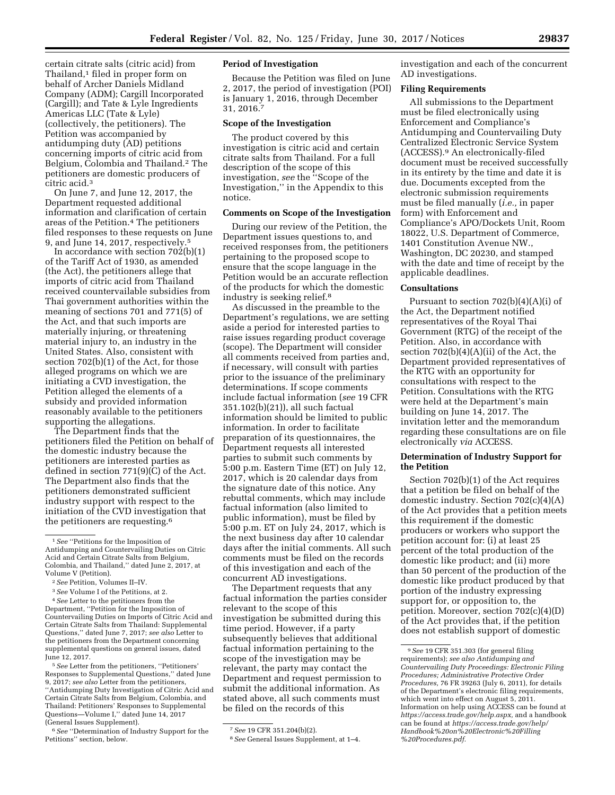certain citrate salts (citric acid) from Thailand,<sup>1</sup> filed in proper form on behalf of Archer Daniels Midland Company (ADM); Cargill Incorporated (Cargill); and Tate & Lyle Ingredients Americas LLC (Tate & Lyle) (collectively, the petitioners). The Petition was accompanied by antidumping duty (AD) petitions concerning imports of citric acid from Belgium, Colombia and Thailand.2 The petitioners are domestic producers of citric acid.3

On June 7, and June 12, 2017, the Department requested additional information and clarification of certain areas of the Petition.4 The petitioners filed responses to these requests on June 9, and June 14, 2017, respectively.5

In accordance with section 702(b)(1) of the Tariff Act of 1930, as amended (the Act), the petitioners allege that imports of citric acid from Thailand received countervailable subsidies from Thai government authorities within the meaning of sections 701 and 771(5) of the Act, and that such imports are materially injuring, or threatening material injury to, an industry in the United States. Also, consistent with section 702(b)(1) of the Act, for those alleged programs on which we are initiating a CVD investigation, the Petition alleged the elements of a subsidy and provided information reasonably available to the petitioners supporting the allegations.

The Department finds that the petitioners filed the Petition on behalf of the domestic industry because the petitioners are interested parties as defined in section 771(9)(C) of the Act. The Department also finds that the petitioners demonstrated sufficient industry support with respect to the initiation of the CVD investigation that the petitioners are requesting.6

5*See* Letter from the petitioners, ''Petitioners' Responses to Supplemental Questions,'' dated June 9, 2017; *see also* Letter from the petitioners, ''Antidumping Duty Investigation of Citric Acid and Certain Citrate Salts from Belgium, Colombia, and Thailand: Petitioners' Responses to Supplemental Questions—Volume I,'' dated June 14, 2017 (General Issues Supplement).

6*See* ''Determination of Industry Support for the Petitions'' section, below.

# **Period of Investigation**

Because the Petition was filed on June 2, 2017, the period of investigation (POI) is January 1, 2016, through December 31, 2016.7

#### **Scope of the Investigation**

The product covered by this investigation is citric acid and certain citrate salts from Thailand. For a full description of the scope of this investigation, *see* the ''Scope of the Investigation,'' in the Appendix to this notice.

# **Comments on Scope of the Investigation**

During our review of the Petition, the Department issues questions to, and received responses from, the petitioners pertaining to the proposed scope to ensure that the scope language in the Petition would be an accurate reflection of the products for which the domestic industry is seeking relief.8

As discussed in the preamble to the Department's regulations, we are setting aside a period for interested parties to raise issues regarding product coverage (scope). The Department will consider all comments received from parties and, if necessary, will consult with parties prior to the issuance of the preliminary determinations. If scope comments include factual information (*see* 19 CFR 351.102(b)(21)), all such factual information should be limited to public information. In order to facilitate preparation of its questionnaires, the Department requests all interested parties to submit such comments by 5:00 p.m. Eastern Time (ET) on July 12, 2017, which is 20 calendar days from the signature date of this notice. Any rebuttal comments, which may include factual information (also limited to public information), must be filed by 5:00 p.m. ET on July 24, 2017, which is the next business day after 10 calendar days after the initial comments. All such comments must be filed on the records of this investigation and each of the concurrent AD investigations.

The Department requests that any factual information the parties consider relevant to the scope of this investigation be submitted during this time period. However, if a party subsequently believes that additional factual information pertaining to the scope of the investigation may be relevant, the party may contact the Department and request permission to submit the additional information. As stated above, all such comments must be filed on the records of this

investigation and each of the concurrent AD investigations.

#### **Filing Requirements**

All submissions to the Department must be filed electronically using Enforcement and Compliance's Antidumping and Countervailing Duty Centralized Electronic Service System (ACCESS).9 An electronically-filed document must be received successfully in its entirety by the time and date it is due. Documents excepted from the electronic submission requirements must be filed manually (*i.e.,* in paper form) with Enforcement and Compliance's APO/Dockets Unit, Room 18022, U.S. Department of Commerce, 1401 Constitution Avenue NW., Washington, DC 20230, and stamped with the date and time of receipt by the applicable deadlines.

#### **Consultations**

Pursuant to section 702(b)(4)(A)(i) of the Act, the Department notified representatives of the Royal Thai Government (RTG) of the receipt of the Petition. Also, in accordance with section  $702(b)(4)(A)(ii)$  of the Act, the Department provided representatives of the RTG with an opportunity for consultations with respect to the Petition. Consultations with the RTG were held at the Department's main building on June 14, 2017. The invitation letter and the memorandum regarding these consultations are on file electronically *via* ACCESS.

# **Determination of Industry Support for the Petition**

Section 702(b)(1) of the Act requires that a petition be filed on behalf of the domestic industry. Section 702(c)(4)(A) of the Act provides that a petition meets this requirement if the domestic producers or workers who support the petition account for: (i) at least 25 percent of the total production of the domestic like product; and (ii) more than 50 percent of the production of the domestic like product produced by that portion of the industry expressing support for, or opposition to, the petition. Moreover, section 702(c)(4)(D) of the Act provides that, if the petition does not establish support of domestic

<sup>1</sup>*See* ''Petitions for the Imposition of Antidumping and Countervailing Duties on Citric Acid and Certain Citrate Salts from Belgium, Colombia, and Thailand,'' dated June 2, 2017, at Volume V (Petition).

<sup>2</sup>*See* Petition, Volumes II–IV.

<sup>3</sup>*See* Volume I of the Petitions, at 2.

<sup>4</sup>*See* Letter to the petitioners from the Department, ''Petition for the Imposition of Countervailing Duties on Imports of Citric Acid and Certain Citrate Salts from Thailand: Supplemental Questions,'' dated June 7, 2017; *see also* Letter to the petitioners from the Department concerning supplemental questions on general issues, dated June 12, 2017.

<sup>7</sup>*See* 19 CFR 351.204(b)(2).

<sup>8</sup>*See* General Issues Supplement, at 1–4.

<sup>9</sup>*See* 19 CFR 351.303 (for general filing requirements); *see also Antidumping and Countervailing Duty Proceedings: Electronic Filing Procedures; Administrative Protective Order Procedures,* 76 FR 39263 (July 6, 2011), for details of the Department's electronic filing requirements, which went into effect on August 5, 2011. Information on help using ACCESS can be found at *[https://access.trade.gov/help.aspx,](https://access.trade.gov/help.aspx)* and a handbook can be found at *[https://access.trade.gov/help/](https://access.trade.gov/help/Handbook%20on%20Electronic%20Filling%20Procedures.pdf) [Handbook%20on%20Electronic%20Filling](https://access.trade.gov/help/Handbook%20on%20Electronic%20Filling%20Procedures.pdf) [%20Procedures.pdf.](https://access.trade.gov/help/Handbook%20on%20Electronic%20Filling%20Procedures.pdf)*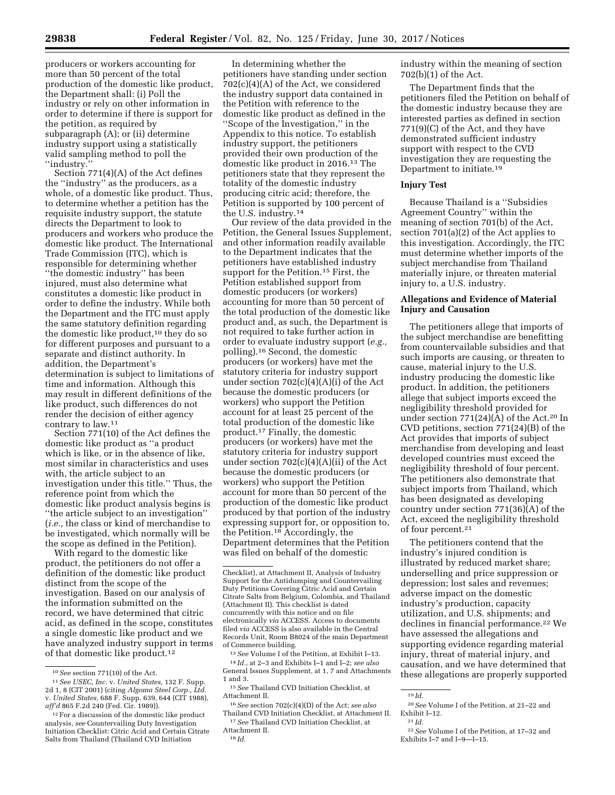producers or workers accounting for more than 50 percent of the total production of the domestic like product, the Department shall: (i) Poll the industry or rely on other information in order to determine if there is support for the petition, as required by subparagraph (A); or (ii) determine industry support using a statistically valid sampling method to poll the ''industry.''

Section 771(4)(A) of the Act defines the ''industry'' as the producers, as a whole, of a domestic like product. Thus, to determine whether a petition has the requisite industry support, the statute directs the Department to look to producers and workers who produce the domestic like product. The International Trade Commission (ITC), which is responsible for determining whether ''the domestic industry'' has been injured, must also determine what constitutes a domestic like product in order to define the industry. While both the Department and the ITC must apply the same statutory definition regarding the domestic like product,10 they do so for different purposes and pursuant to a separate and distinct authority. In addition, the Department's determination is subject to limitations of time and information. Although this may result in different definitions of the like product, such differences do not render the decision of either agency contrary to law.11

Section 771(10) of the Act defines the domestic like product as ''a product which is like, or in the absence of like, most similar in characteristics and uses with, the article subject to an investigation under this title.'' Thus, the reference point from which the domestic like product analysis begins is ''the article subject to an investigation'' (*i.e.,* the class or kind of merchandise to be investigated, which normally will be the scope as defined in the Petition).

With regard to the domestic like product, the petitioners do not offer a definition of the domestic like product distinct from the scope of the investigation. Based on our analysis of the information submitted on the record, we have determined that citric acid, as defined in the scope, constitutes a single domestic like product and we have analyzed industry support in terms of that domestic like product.12

In determining whether the petitioners have standing under section 702(c)(4)(A) of the Act, we considered the industry support data contained in the Petition with reference to the domestic like product as defined in the ''Scope of the Investigation,'' in the Appendix to this notice. To establish industry support, the petitioners provided their own production of the domestic like product in 2016.13 The petitioners state that they represent the totality of the domestic industry producing citric acid; therefore, the Petition is supported by 100 percent of the U.S. industry.14

Our review of the data provided in the Petition, the General Issues Supplement, and other information readily available to the Department indicates that the petitioners have established industry support for the Petition.15 First, the Petition established support from domestic producers (or workers) accounting for more than 50 percent of the total production of the domestic like product and, as such, the Department is not required to take further action in order to evaluate industry support (*e.g.,*  polling).16 Second, the domestic producers (or workers) have met the statutory criteria for industry support under section 702(c)(4)(A)(i) of the Act because the domestic producers (or workers) who support the Petition account for at least 25 percent of the total production of the domestic like product.17 Finally, the domestic producers (or workers) have met the statutory criteria for industry support under section 702(c)(4)(A)(ii) of the Act because the domestic producers (or workers) who support the Petition account for more than 50 percent of the production of the domestic like product produced by that portion of the industry expressing support for, or opposition to, the Petition.18 Accordingly, the Department determines that the Petition was filed on behalf of the domestic

industry within the meaning of section 702(b)(1) of the Act.

The Department finds that the petitioners filed the Petition on behalf of the domestic industry because they are interested parties as defined in section 771(9)(C) of the Act, and they have demonstrated sufficient industry support with respect to the CVD investigation they are requesting the Department to initiate.19

#### **Injury Test**

Because Thailand is a ''Subsidies Agreement Country'' within the meaning of section 701(b) of the Act, section 701(a)(2) of the Act applies to this investigation. Accordingly, the ITC must determine whether imports of the subject merchandise from Thailand materially injure, or threaten material injury to, a U.S. industry.

# **Allegations and Evidence of Material Injury and Causation**

The petitioners allege that imports of the subject merchandise are benefitting from countervailable subsidies and that such imports are causing, or threaten to cause, material injury to the U.S. industry producing the domestic like product. In addition, the petitioners allege that subject imports exceed the negligibility threshold provided for under section  $771(24)(A)$  of the Act.<sup>20</sup> In CVD petitions, section 771(24)(B) of the Act provides that imports of subject merchandise from developing and least developed countries must exceed the negligibility threshold of four percent. The petitioners also demonstrate that subject imports from Thailand, which has been designated as developing country under section 771(36)(A) of the Act, exceed the negligibility threshold of four percent.<sup>21</sup>

The petitioners contend that the industry's injured condition is illustrated by reduced market share; underselling and price suppression or depression; lost sales and revenues; adverse impact on the domestic industry's production, capacity utilization, and U.S. shipments; and declines in financial performance.<sup>22</sup> We have assessed the allegations and supporting evidence regarding material injury, threat of material injury, and causation, and we have determined that these allegations are properly supported

22*See* Volume I of the Petition, at 17–32 and

Exhibits I–7 and I–9—I–15.

<sup>10</sup>*See* section 771(10) of the Act.

<sup>11</sup>*See USEC, Inc.* v. *United States,* 132 F. Supp. 2d 1, 8 (CIT 2001) (citing *Algoma Steel Corp., Ltd.*  v. *United States,* 688 F. Supp. 639, 644 (CIT 1988), *aff'd* 865 F.2d 240 (Fed. Cir. 1989)).

<sup>12</sup>For a discussion of the domestic like product analysis, *see* Countervailing Duty Investigation Initiation Checklist: Citric Acid and Certain Citrate Salts from Thailand (Thailand CVD Initiation

Checklist), at Attachment II, Analysis of Industry Support for the Antidumping and Countervailing Duty Petitions Covering Citric Acid and Certain Citrate Salts from Belgium, Colombia, and Thailand (Attachment II). This checklist is dated concurrently with this notice and on file electronically *via* ACCESS. Access to documents filed *via* ACCESS is also available in the Central Records Unit, Room B8024 of the main Department of Commerce building.

<sup>13</sup>*See* Volume I of the Petition, at Exhibit I–13.

<sup>14</sup> *Id.,* at 2–3 and Exhibits I–1 and I–2; *see also*  General Issues Supplement, at 1, 7 and Attachments 1 and 3.

<sup>15</sup>*See* Thailand CVD Initiation Checklist, at Attachment II.

<sup>16</sup>*See* section 702(c)(4)(D) of the Act; *see also*  Thailand CVD Initiation Checklist, at Attachment II.

<sup>17</sup>*See* Thailand CVD Initiation Checklist, at Attachment II.

 $\overline{19}$  *Id.* 

<sup>20</sup>*See* Volume I of the Petition, at 21–22 and Exhibit I–12. 21 *Id.*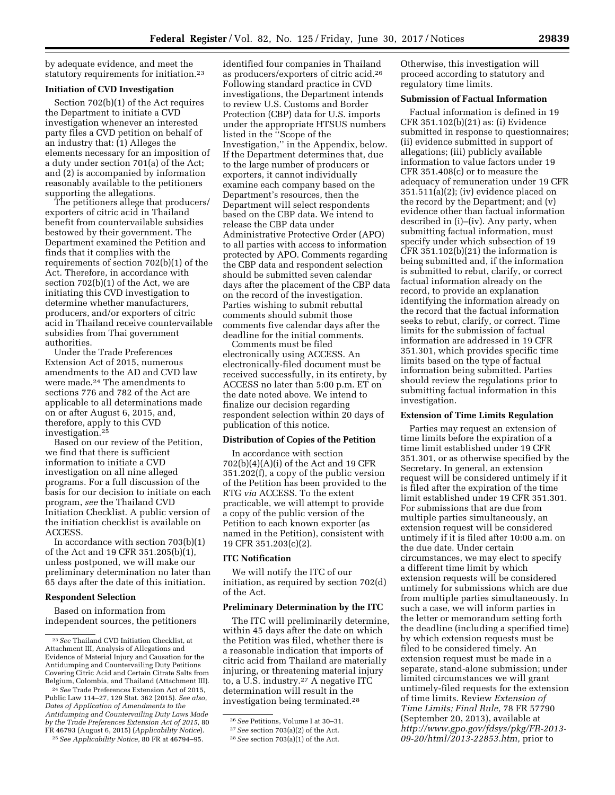by adequate evidence, and meet the statutory requirements for initiation.23

# **Initiation of CVD Investigation**

Section 702(b)(1) of the Act requires the Department to initiate a CVD investigation whenever an interested party files a CVD petition on behalf of an industry that: (1) Alleges the elements necessary for an imposition of a duty under section 701(a) of the Act; and (2) is accompanied by information reasonably available to the petitioners supporting the allegations.

The petitioners allege that producers/ exporters of citric acid in Thailand benefit from countervailable subsidies bestowed by their government. The Department examined the Petition and finds that it complies with the requirements of section 702(b)(1) of the Act. Therefore, in accordance with section 702(b)(1) of the Act, we are initiating this CVD investigation to determine whether manufacturers, producers, and/or exporters of citric acid in Thailand receive countervailable subsidies from Thai government authorities.

Under the Trade Preferences Extension Act of 2015, numerous amendments to the AD and CVD law were made.24 The amendments to sections 776 and 782 of the Act are applicable to all determinations made on or after August 6, 2015, and, therefore, apply to this CVD investigation.25

Based on our review of the Petition, we find that there is sufficient information to initiate a CVD investigation on all nine alleged programs. For a full discussion of the basis for our decision to initiate on each program, *see* the Thailand CVD Initiation Checklist. A public version of the initiation checklist is available on ACCESS.

In accordance with section 703(b)(1) of the Act and 19 CFR 351.205(b)(1), unless postponed, we will make our preliminary determination no later than 65 days after the date of this initiation.

# **Respondent Selection**

Based on information from independent sources, the petitioners

25*See Applicability Notice,* 80 FR at 46794–95.

identified four companies in Thailand as producers/exporters of citric acid.26 Following standard practice in CVD investigations, the Department intends to review U.S. Customs and Border Protection (CBP) data for U.S. imports under the appropriate HTSUS numbers listed in the ''Scope of the Investigation,'' in the Appendix, below. If the Department determines that, due to the large number of producers or exporters, it cannot individually examine each company based on the Department's resources, then the Department will select respondents based on the CBP data. We intend to release the CBP data under Administrative Protective Order (APO) to all parties with access to information protected by APO. Comments regarding the CBP data and respondent selection should be submitted seven calendar days after the placement of the CBP data on the record of the investigation. Parties wishing to submit rebuttal comments should submit those comments five calendar days after the deadline for the initial comments.

Comments must be filed electronically using ACCESS. An electronically-filed document must be received successfully, in its entirety, by ACCESS no later than 5:00 p.m. ET on the date noted above. We intend to finalize our decision regarding respondent selection within 20 days of publication of this notice.

## **Distribution of Copies of the Petition**

In accordance with section 702(b)(4)(A)(i) of the Act and 19 CFR 351.202(f), a copy of the public version of the Petition has been provided to the RTG *via* ACCESS. To the extent practicable, we will attempt to provide a copy of the public version of the Petition to each known exporter (as named in the Petition), consistent with 19 CFR 351.203(c)(2).

#### **ITC Notification**

We will notify the ITC of our initiation, as required by section 702(d) of the Act.

# **Preliminary Determination by the ITC**

The ITC will preliminarily determine, within 45 days after the date on which the Petition was filed, whether there is a reasonable indication that imports of citric acid from Thailand are materially injuring, or threatening material injury to, a U.S. industry.27 A negative ITC determination will result in the investigation being terminated.28

Otherwise, this investigation will proceed according to statutory and regulatory time limits.

# **Submission of Factual Information**

Factual information is defined in 19 CFR 351.102(b)(21) as: (i) Evidence submitted in response to questionnaires; (ii) evidence submitted in support of allegations; (iii) publicly available information to value factors under 19 CFR 351.408(c) or to measure the adequacy of remuneration under 19 CFR 351.511(a)(2); (iv) evidence placed on the record by the Department; and (v) evidence other than factual information described in (i)–(iv). Any party, when submitting factual information, must specify under which subsection of 19 CFR  $351.102(b)(21)$  the information is being submitted and, if the information is submitted to rebut, clarify, or correct factual information already on the record, to provide an explanation identifying the information already on the record that the factual information seeks to rebut, clarify, or correct. Time limits for the submission of factual information are addressed in 19 CFR 351.301, which provides specific time limits based on the type of factual information being submitted. Parties should review the regulations prior to submitting factual information in this investigation.

#### **Extension of Time Limits Regulation**

Parties may request an extension of time limits before the expiration of a time limit established under 19 CFR 351.301, or as otherwise specified by the Secretary. In general, an extension request will be considered untimely if it is filed after the expiration of the time limit established under 19 CFR 351.301. For submissions that are due from multiple parties simultaneously, an extension request will be considered untimely if it is filed after 10:00 a.m. on the due date. Under certain circumstances, we may elect to specify a different time limit by which extension requests will be considered untimely for submissions which are due from multiple parties simultaneously. In such a case, we will inform parties in the letter or memorandum setting forth the deadline (including a specified time) by which extension requests must be filed to be considered timely. An extension request must be made in a separate, stand-alone submission; under limited circumstances we will grant untimely-filed requests for the extension of time limits. Review *Extension of Time Limits; Final Rule,* 78 FR 57790 (September 20, 2013), available at *[http://www.gpo.gov/fdsys/pkg/FR-2013-](http://www.gpo.gov/fdsys/pkg/FR-2013-09-20/html/2013-22853.htm) [09-20/html/2013-22853.htm,](http://www.gpo.gov/fdsys/pkg/FR-2013-09-20/html/2013-22853.htm)* prior to

<sup>23</sup>*See* Thailand CVD Initiation Checklist, at Attachment III, Analysis of Allegations and Evidence of Material Injury and Causation for the Antidumping and Countervailing Duty Petitions Covering Citric Acid and Certain Citrate Salts from Belgium, Colombia, and Thailand (Attachment III).

<sup>24</sup>*See* Trade Preferences Extension Act of 2015, Public Law 114–27, 129 Stat. 362 (2015). *See also, Dates of Application of Amendments to the Antidumping and Countervailing Duty Laws Made by the Trade Preferences Extension Act of 2015,* 80 FR 46793 (August 6, 2015) (*Applicability Notice*).

<sup>26</sup>*See* Petitions, Volume I at 30–31.

<sup>27</sup>*See* section 703(a)(2) of the Act.

<sup>28</sup>*See* section 703(a)(1) of the Act.